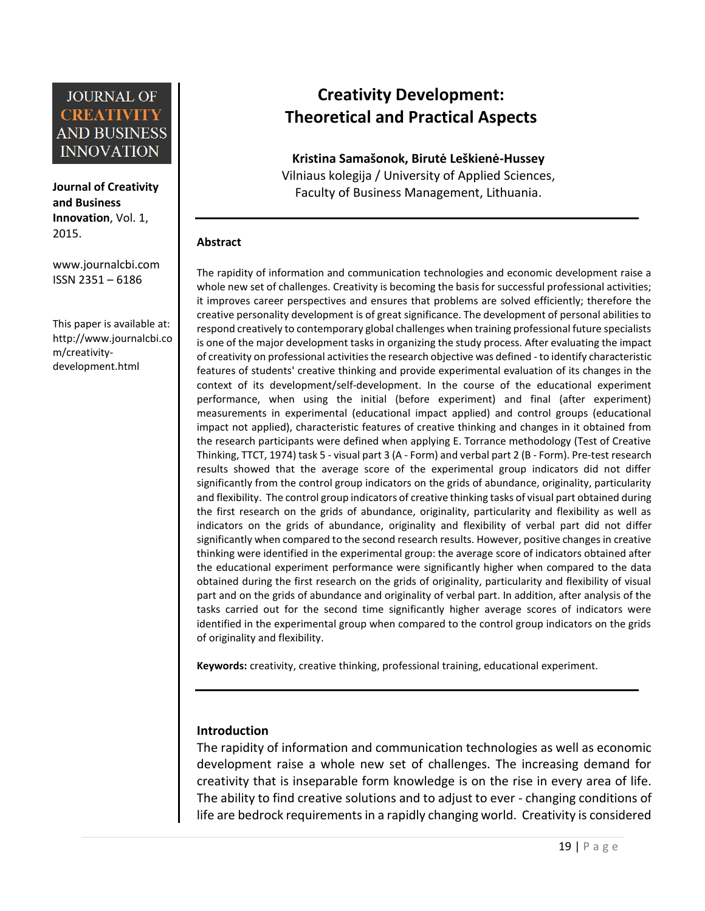**Journal of Creativity and Business Innovation**, Vol. 1, 2015.

[www.journalcbi.com](http://www.journalcbi.com/) ISSN 2351 – 6186

This paper is available at: [http://www.journalcbi.co](http://www.journalcbi.com/ideation-using-analogies.html) [m/creativity](http://www.journalcbi.com/ideation-using-analogies.html)[development.html](http://www.journalcbi.com/ideation-using-analogies.html)

# **Creativity Development: Theoretical and Practical Aspects**

**Kristina Samašonok, Birutė Leškienė-Hussey** Vilniaus kolegija / University of Applied Sciences, Faculty of Business Management, Lithuania.

#### **Abstract**

The rapidity of information and communication technologies and economic development raise a whole new set of challenges. Creativity is becoming the basis for successful professional activities; it improves career perspectives and ensures that problems are solved efficiently; therefore the creative personality development is of great significance. The development of personal abilities to respond creatively to contemporary global challenges when training professional future specialists is one of the major development tasks in organizing the study process. After evaluating the impact of creativity on professional activities the research objective was defined - to identify characteristic features of students' creative thinking and provide experimental evaluation of its changes in the context of its development/self-development. In the course of the educational experiment performance, when using the initial (before experiment) and final (after experiment) measurements in experimental (educational impact applied) and control groups (educational impact not applied), characteristic features of creative thinking and changes in it obtained from the research participants were defined when applying E. Torrance methodology (Test of Creative Thinking, TTCT, 1974) task 5 - visual part 3 (A - Form) and verbal part 2 (B - Form). Pre-test research results showed that the average score of the experimental group indicators did not differ significantly from the control group indicators on the grids of abundance, originality, particularity and flexibility. The control group indicators of creative thinking tasks of visual part obtained during the first research on the grids of abundance, originality, particularity and flexibility as well as indicators on the grids of abundance, originality and flexibility of verbal part did not differ significantly when compared to the second research results. However, positive changes in creative thinking were identified in the experimental group: the average score of indicators obtained after the educational experiment performance were significantly higher when compared to the data obtained during the first research on the grids of originality, particularity and flexibility of visual part and on the grids of abundance and originality of verbal part. In addition, after analysis of the tasks carried out for the second time significantly higher average scores of indicators were identified in the experimental group when compared to the control group indicators on the grids of originality and flexibility.

**Keywords:** creativity, creative thinking, professional training, educational experiment.

#### **Introduction**

The rapidity of information and communication technologies as well as economic development raise a whole new set of challenges. The increasing demand for creativity that is inseparable form knowledge is on the rise in every area of life. The ability to find creative solutions and to adjust to ever - changing conditions of life are bedrock requirements in a rapidly changing world. Creativity is considered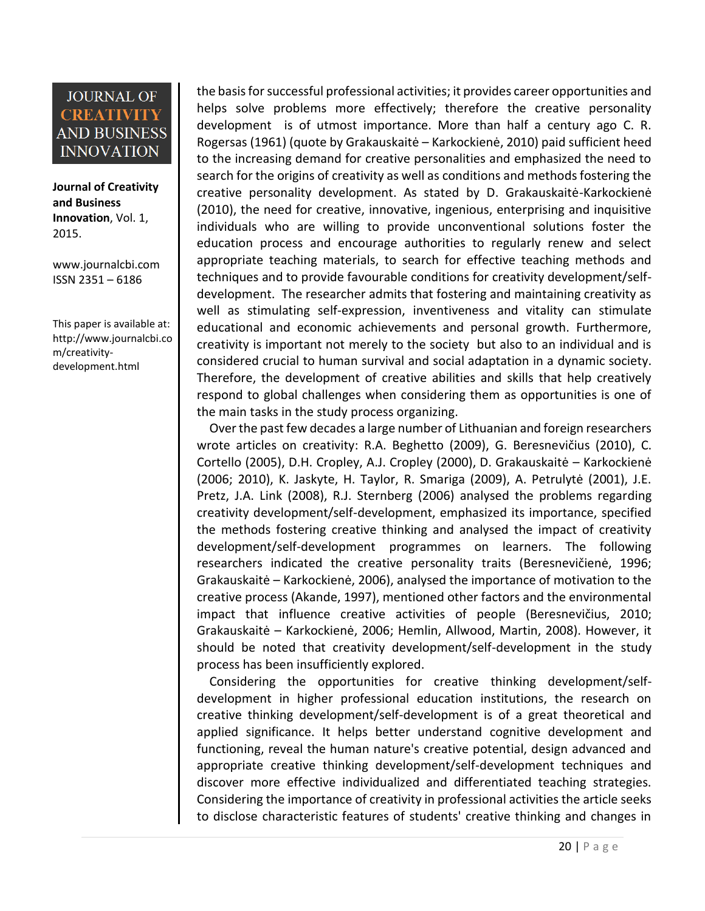**Journal of Creativity and Business Innovation**, Vol. 1, 2015.

[www.journalcbi.com](http://www.journalcbi.com/) ISSN 2351 – 6186

This paper is available at: [http://www.journalcbi.co](http://www.journalcbi.com/ideation-using-analogies.html) [m/creativity](http://www.journalcbi.com/ideation-using-analogies.html)[development.html](http://www.journalcbi.com/ideation-using-analogies.html)

the basis for successful professional activities; it provides career opportunities and helps solve problems more effectively; therefore the creative personality development is of utmost importance. More than half a century ago C. R. Rogersas (1961) (quote by Grakauskaitė – Karkockienė, 2010) paid sufficient heed to the increasing demand for creative personalities and emphasized the need to search for the origins of creativity as well as conditions and methods fostering the creative personality development. As stated by D. Grakauskaitė-Karkockienė (2010), the need for creative, innovative, ingenious, enterprising and inquisitive individuals who are willing to provide unconventional solutions foster the education process and encourage authorities to regularly renew and select appropriate teaching materials, to search for effective teaching methods and techniques and to provide favourable conditions for creativity development/selfdevelopment. The researcher admits that fostering and maintaining creativity as well as stimulating self-expression, inventiveness and vitality can stimulate educational and economic achievements and personal growth. Furthermore, creativity is important not merely to the society but also to an individual and is considered crucial to human survival and social adaptation in a dynamic society. Therefore, the development of creative abilities and skills that help creatively respond to global challenges when considering them as opportunities is one of the main tasks in the study process organizing.

 Over the past few decades a large number of Lithuanian and foreign researchers wrote articles on creativity: R.A. Beghetto (2009), G. Beresnevičius (2010), C. Cortello (2005), D.H. Cropley, A.J. Cropley (2000), D. Grakauskaitė – Karkockienė (2006; 2010), K. Jaskyte, H. Taylor, R. Smariga (2009), A. Petrulytė (2001), J.E. Pretz, J.A. Link (2008), R.J. Sternberg (2006) analysed the problems regarding creativity development/self-development, emphasized its importance, specified the methods fostering creative thinking and analysed the impact of creativity development/self-development programmes on learners. The following researchers indicated the creative personality traits (Beresnevičienė, 1996; Grakauskaitė – Karkockienė, 2006), analysed the importance of motivation to the creative process (Akande, 1997), mentioned other factors and the environmental impact that influence creative activities of people (Beresnevičius, 2010; Grakauskaitė – Karkockienė, 2006; Hemlin, Allwood, Martin, 2008). However, it should be noted that creativity development/self-development in the study process has been insufficiently explored.

 Considering the opportunities for creative thinking development/selfdevelopment in higher professional education institutions, the research on creative thinking development/self-development is of a great theoretical and applied significance. It helps better understand cognitive development and functioning, reveal the human nature's creative potential, design advanced and appropriate creative thinking development/self-development techniques and discover more effective individualized and differentiated teaching strategies. Considering the importance of creativity in professional activities the article seeks to disclose characteristic features of students' creative thinking and changes in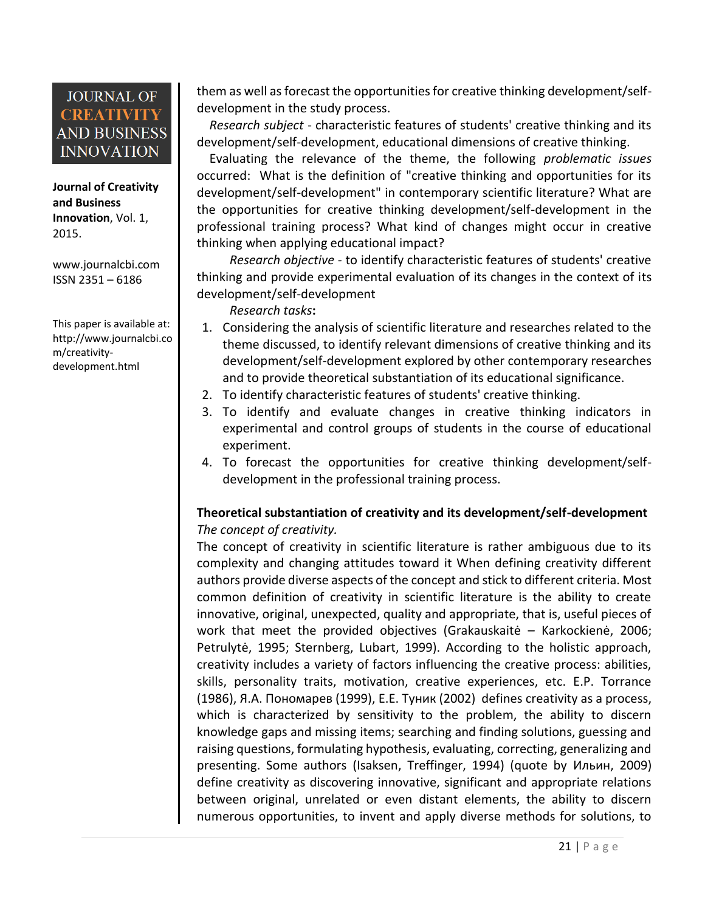**Journal of Creativity and Business Innovation**, Vol. 1, 2015.

[www.journalcbi.com](http://www.journalcbi.com/) ISSN 2351 – 6186

This paper is available at: [http://www.journalcbi.co](http://www.journalcbi.com/ideation-using-analogies.html) [m/creativity](http://www.journalcbi.com/ideation-using-analogies.html)[development.html](http://www.journalcbi.com/ideation-using-analogies.html)

them as well as forecast the opportunities for creative thinking development/selfdevelopment in the study process.

 *Research subject* - characteristic features of students' creative thinking and its development/self-development, educational dimensions of creative thinking.

 Evaluating the relevance of the theme, the following *problematic issues* occurred: What is the definition of "creative thinking and opportunities for its development/self-development" in contemporary scientific literature? What are the opportunities for creative thinking development/self-development in the professional training process? What kind of changes might occur in creative thinking when applying educational impact?

*Research objective* - to identify characteristic features of students' creative thinking and provide experimental evaluation of its changes in the context of its development/self-development

*Research tasks***:**

- 1. Considering the analysis of scientific literature and researches related to the theme discussed, to identify relevant dimensions of creative thinking and its development/self-development explored by other contemporary researches and to provide theoretical substantiation of its educational significance.
- 2. To identify characteristic features of students' creative thinking.
- 3. To identify and evaluate changes in creative thinking indicators in experimental and control groups of students in the course of educational experiment.
- 4. To forecast the opportunities for creative thinking development/selfdevelopment in the professional training process.

#### **Theoretical substantiation of creativity and its development/self-development** *The concept of creativity.*

The concept of creativity in scientific literature is rather ambiguous due to its complexity and changing attitudes toward it When defining creativity different authors provide diverse aspects of the concept and stick to different criteria. Most common definition of creativity in scientific literature is the ability to create innovative, original, unexpected, quality and appropriate, that is, useful pieces of work that meet the provided objectives (Grakauskaitė – Karkockienė, 2006; Petrulytė, 1995; Sternberg, Lubart, 1999). According to the holistic approach, creativity includes a variety of factors influencing the creative process: abilities, skills, personality traits, motivation, creative experiences, etc. E.P. Torrance (1986), Я.А. Пономарев (1999), E.E. Туник (2002) defines creativity as a process, which is characterized by sensitivity to the problem, the ability to discern knowledge gaps and missing items; searching and finding solutions, guessing and raising questions, formulating hypothesis, evaluating, correcting, generalizing and presenting. Some authors (Isaksen, Treffinger, 1994) (quote by Ильин, 2009) define creativity as discovering innovative, significant and appropriate relations between original, unrelated or even distant elements, the ability to discern numerous opportunities, to invent and apply diverse methods for solutions, to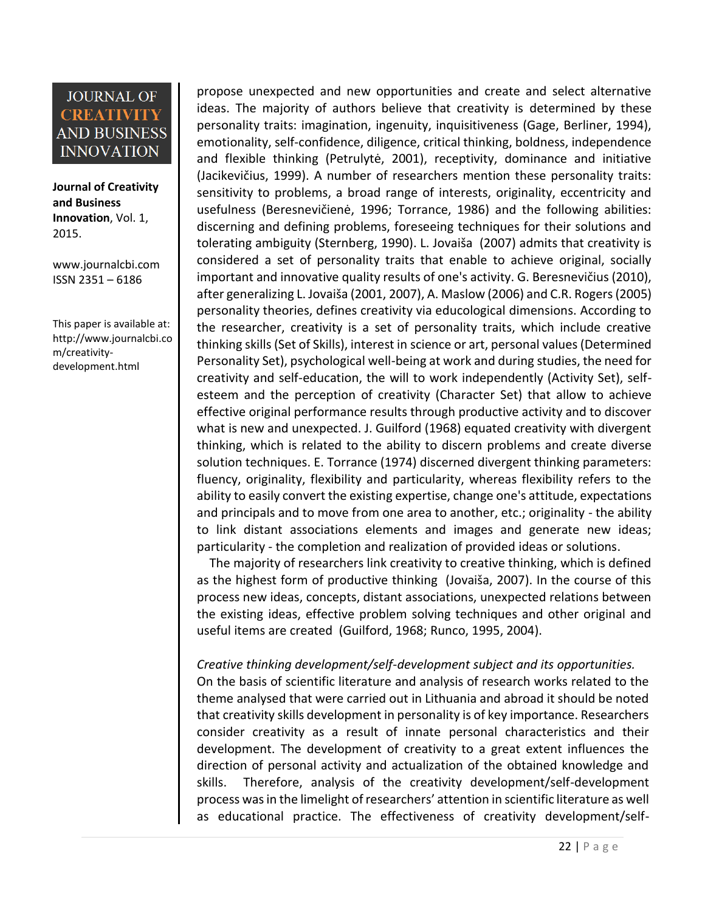**Journal of Creativity and Business Innovation**, Vol. 1, 2015.

[www.journalcbi.com](http://www.journalcbi.com/) ISSN 2351 – 6186

This paper is available at: [http://www.journalcbi.co](http://www.journalcbi.com/ideation-using-analogies.html) [m/creativity](http://www.journalcbi.com/ideation-using-analogies.html)[development.html](http://www.journalcbi.com/ideation-using-analogies.html)

propose unexpected and new opportunities and create and select alternative ideas. The majority of authors believe that creativity is determined by these personality traits: imagination, ingenuity, inquisitiveness (Gage, Berliner, 1994), emotionality, self-confidence, diligence, critical thinking, boldness, independence and flexible thinking (Petrulytė, 2001), receptivity, dominance and initiative (Jacikevičius, 1999). A number of researchers mention these personality traits: sensitivity to problems, a broad range of interests, originality, eccentricity and usefulness (Beresnevičienė, 1996; Torrance, 1986) and the following abilities: discerning and defining problems, foreseeing techniques for their solutions and tolerating ambiguity (Sternberg, 1990). L. Jovaiša (2007) admits that creativity is considered a set of personality traits that enable to achieve original, socially important and innovative quality results of one's activity. G. Beresnevičius (2010), after generalizing L. Jovaiša (2001, 2007), A. Maslow (2006) and C.R. Rogers (2005) personality theories, defines creativity via educological dimensions. According to the researcher, creativity is a set of personality traits, which include creative thinking skills (Set of Skills), interest in science or art, personal values (Determined Personality Set), psychological well-being at work and during studies, the need for creativity and self-education, the will to work independently (Activity Set), selfesteem and the perception of creativity (Character Set) that allow to achieve effective original performance results through productive activity and to discover what is new and unexpected. J. Guilford (1968) equated creativity with divergent thinking, which is related to the ability to discern problems and create diverse solution techniques. E. Torrance (1974) discerned divergent thinking parameters: fluency, originality, flexibility and particularity, whereas flexibility refers to the ability to easily convert the existing expertise, change one's attitude, expectations and principals and to move from one area to another, etc.; originality - the ability to link distant associations elements and images and generate new ideas; particularity - the completion and realization of provided ideas or solutions.

 The majority of researchers link creativity to creative thinking, which is defined as the highest form of productive thinking (Jovaiša, 2007). In the course of this process new ideas, concepts, distant associations, unexpected relations between the existing ideas, effective problem solving techniques and other original and useful items are created (Guilford, 1968; Runco, 1995, 2004).

#### *Creative thinking development/self-development subject and its opportunities.*

On the basis of scientific literature and analysis of research works related to the theme analysed that were carried out in Lithuania and abroad it should be noted that creativity skills development in personality is of key importance. Researchers consider creativity as a result of innate personal characteristics and their development. The development of creativity to a great extent influences the direction of personal activity and actualization of the obtained knowledge and skills. Therefore, analysis of the creativity development/self-development process was in the limelight of researchers' attention in scientific literature as well as educational practice. The effectiveness of creativity development/self-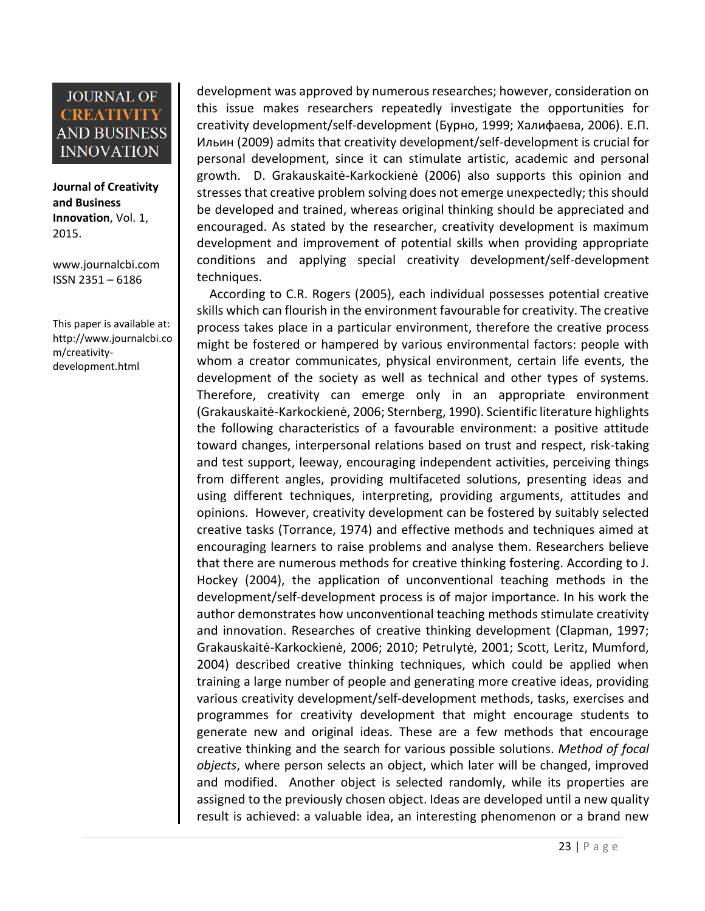**Journal of Creativity and Business Innovation**, Vol. 1, 2015.

[www.journalcbi.com](http://www.journalcbi.com/) ISSN 2351 – 6186

This paper is available at: [http://www.journalcbi.co](http://www.journalcbi.com/ideation-using-analogies.html) [m/creativity](http://www.journalcbi.com/ideation-using-analogies.html)[development.html](http://www.journalcbi.com/ideation-using-analogies.html)

development was approved by numerous researches; however, consideration on this issue makes researchers repeatedly investigate the opportunities for creativity development/self-development (Бурно, 1999; Халифаева, 2006). E.П. Ильин (2009) admits that creativity development/self-development is crucial for personal development, since it can stimulate artistic, academic and personal growth. D. Grakauskaitė-Karkockienė (2006) also supports this opinion and stresses that creative problem solving does not emerge unexpectedly; this should be developed and trained, whereas original thinking should be appreciated and encouraged. As stated by the researcher, creativity development is maximum development and improvement of potential skills when providing appropriate conditions and applying special creativity development/self-development techniques.

 According to C.R. Rogers (2005), each individual possesses potential creative skills which can flourish in the environment favourable for creativity. The creative process takes place in a particular environment, therefore the creative process might be fostered or hampered by various environmental factors: people with whom a creator communicates, physical environment, certain life events, the development of the society as well as technical and other types of systems. Therefore, creativity can emerge only in an appropriate environment (Grakauskaitė-Karkockienė, 2006; Sternberg, 1990). Scientific literature highlights the following characteristics of a favourable environment: a positive attitude toward changes, interpersonal relations based on trust and respect, risk-taking and test support, leeway, encouraging independent activities, perceiving things from different angles, providing multifaceted solutions, presenting ideas and using different techniques, interpreting, providing arguments, attitudes and opinions. However, creativity development can be fostered by suitably selected creative tasks (Torrance, 1974) and effective methods and techniques aimed at encouraging learners to raise problems and analyse them. Researchers believe that there are numerous methods for creative thinking fostering. According to J. Hockey (2004), the application of unconventional teaching methods in the development/self-development process is of major importance. In his work the author demonstrates how unconventional teaching methods stimulate creativity and innovation. Researches of creative thinking development (Clapman, 1997; Grakauskaitė-Karkockienė, 2006; 2010; Petrulytė, 2001; Scott, Leritz, Mumford, 2004) described creative thinking techniques, which could be applied when training a large number of people and generating more creative ideas, providing various creativity development/self-development methods, tasks, exercises and programmes for creativity development that might encourage students to generate new and original ideas. These are a few methods that encourage creative thinking and the search for various possible solutions. *Method of focal objects*, where person selects an object, which later will be changed, improved and modified. Another object is selected randomly, while its properties are assigned to the previously chosen object. Ideas are developed until a new quality result is achieved: a valuable idea, an interesting phenomenon or a brand new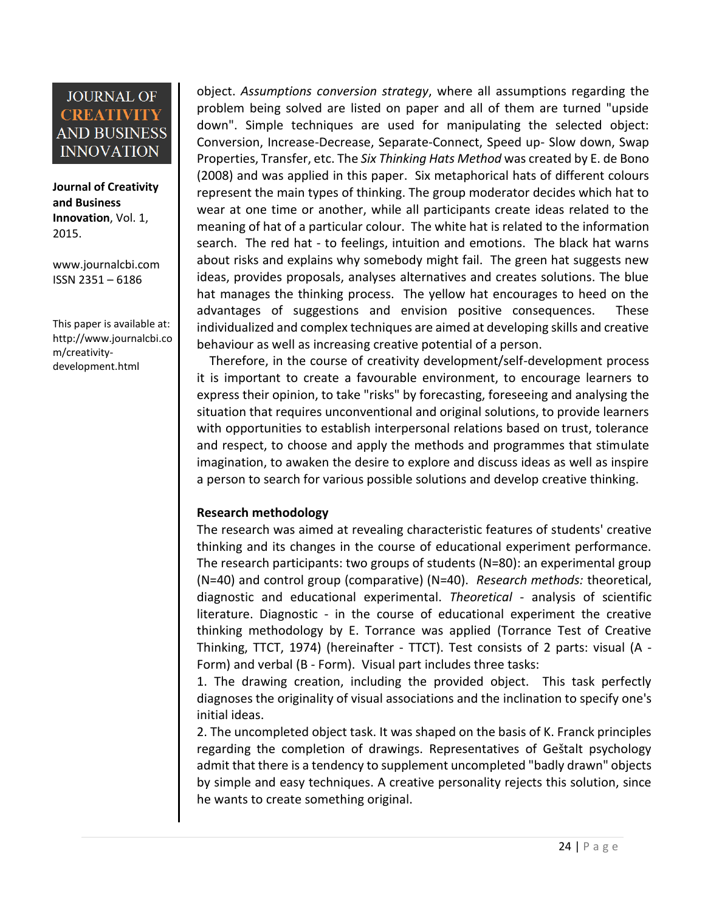**Journal of Creativity and Business Innovation**, Vol. 1, 2015.

[www.journalcbi.com](http://www.journalcbi.com/) ISSN 2351 – 6186

This paper is available at: [http://www.journalcbi.co](http://www.journalcbi.com/ideation-using-analogies.html) [m/creativity](http://www.journalcbi.com/ideation-using-analogies.html)[development.html](http://www.journalcbi.com/ideation-using-analogies.html)

object. *Assumptions conversion strategy*, where all assumptions regarding the problem being solved are listed on paper and all of them are turned "upside down". Simple techniques are used for manipulating the selected object: Conversion, Increase-Decrease, Separate-Connect, Speed up- Slow down, Swap Properties, Transfer, etc. The *Six Thinking Hats Method* was created by E. de Bono (2008) and was applied in this paper. Six metaphorical hats of different colours represent the main types of thinking. The group moderator decides which hat to wear at one time or another, while all participants create ideas related to the meaning of hat of a particular colour. The white hat is related to the information search. The red hat - to feelings, intuition and emotions. The black hat warns about risks and explains why somebody might fail. The green hat suggests new ideas, provides proposals, analyses alternatives and creates solutions. The blue hat manages the thinking process. The yellow hat encourages to heed on the advantages of suggestions and envision positive consequences. These individualized and complex techniques are aimed at developing skills and creative behaviour as well as increasing creative potential of a person.

 Therefore, in the course of creativity development/self-development process it is important to create a favourable environment, to encourage learners to express their opinion, to take "risks" by forecasting, foreseeing and analysing the situation that requires unconventional and original solutions, to provide learners with opportunities to establish interpersonal relations based on trust, tolerance and respect, to choose and apply the methods and programmes that stimulate imagination, to awaken the desire to explore and discuss ideas as well as inspire a person to search for various possible solutions and develop creative thinking.

#### **Research methodology**

The research was aimed at revealing characteristic features of students' creative thinking and its changes in the course of educational experiment performance. The research participants: two groups of students (N=80): an experimental group (N=40) and control group (comparative) (N=40). *Research methods:* theoretical, diagnostic and educational experimental. *Theoretical -* analysis of scientific literature. Diagnostic - in the course of educational experiment the creative thinking methodology by E. Torrance was applied (Torrance Test of Creative Thinking, TTCT, 1974) (hereinafter - TTCT). Test consists of 2 parts: visual (A - Form) and verbal (B - Form). Visual part includes three tasks:

1. The drawing creation, including the provided object. This task perfectly diagnoses the originality of visual associations and the inclination to specify one's initial ideas.

2. The uncompleted object task. It was shaped on the basis of K. Franck principles regarding the completion of drawings. Representatives of Geštalt psychology admit that there is a tendency to supplement uncompleted "badly drawn" objects by simple and easy techniques. A creative personality rejects this solution, since he wants to create something original.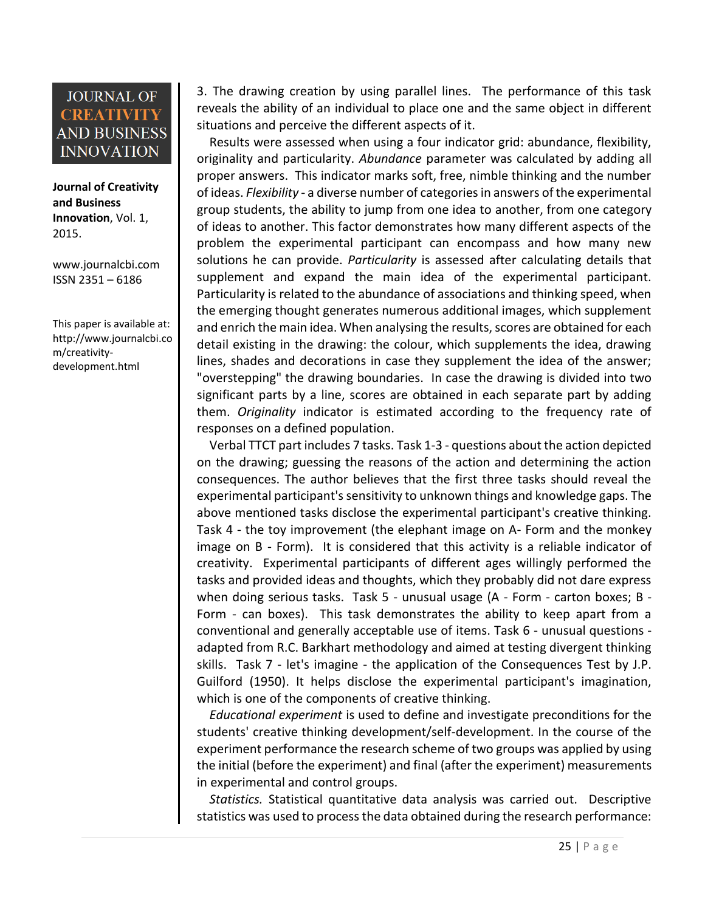**Journal of Creativity and Business Innovation**, Vol. 1, 2015.

[www.journalcbi.com](http://www.journalcbi.com/) ISSN 2351 – 6186

This paper is available at: [http://www.journalcbi.co](http://www.journalcbi.com/ideation-using-analogies.html) [m/creativity](http://www.journalcbi.com/ideation-using-analogies.html)[development.html](http://www.journalcbi.com/ideation-using-analogies.html)

3. The drawing creation by using parallel lines. The performance of this task reveals the ability of an individual to place one and the same object in different situations and perceive the different aspects of it.

 Results were assessed when using a four indicator grid: abundance, flexibility, originality and particularity. *Abundance* parameter was calculated by adding all proper answers. This indicator marks soft, free, nimble thinking and the number of ideas. *Flexibility* - a diverse number of categories in answers of the experimental group students, the ability to jump from one idea to another, from one category of ideas to another. This factor demonstrates how many different aspects of the problem the experimental participant can encompass and how many new solutions he can provide. *Particularity* is assessed after calculating details that supplement and expand the main idea of the experimental participant. Particularity is related to the abundance of associations and thinking speed, when the emerging thought generates numerous additional images, which supplement and enrich the main idea. When analysing the results, scores are obtained for each detail existing in the drawing: the colour, which supplements the idea, drawing lines, shades and decorations in case they supplement the idea of the answer; "overstepping" the drawing boundaries. In case the drawing is divided into two significant parts by a line, scores are obtained in each separate part by adding them. *Originality* indicator is estimated according to the frequency rate of responses on a defined population.

 Verbal TTCT part includes 7 tasks. Task 1-3 - questions about the action depicted on the drawing; guessing the reasons of the action and determining the action consequences. The author believes that the first three tasks should reveal the experimental participant's sensitivity to unknown things and knowledge gaps. The above mentioned tasks disclose the experimental participant's creative thinking. Task 4 - the toy improvement (the elephant image on A- Form and the monkey image on B - Form). It is considered that this activity is a reliable indicator of creativity. Experimental participants of different ages willingly performed the tasks and provided ideas and thoughts, which they probably did not dare express when doing serious tasks. Task 5 - unusual usage (A - Form - carton boxes; B - Form - can boxes). This task demonstrates the ability to keep apart from a conventional and generally acceptable use of items. Task 6 - unusual questions adapted from R.C. Barkhart methodology and aimed at testing divergent thinking skills. Task 7 - let's imagine - the application of the Consequences Test by J.P. Guilford (1950). It helps disclose the experimental participant's imagination, which is one of the components of creative thinking.

 *Educational experiment* is used to define and investigate preconditions for the students' creative thinking development/self-development. In the course of the experiment performance the research scheme of two groups was applied by using the initial (before the experiment) and final (after the experiment) measurements in experimental and control groups.

 *Statistics.* Statistical quantitative data analysis was carried out. Descriptive statistics was used to process the data obtained during the research performance: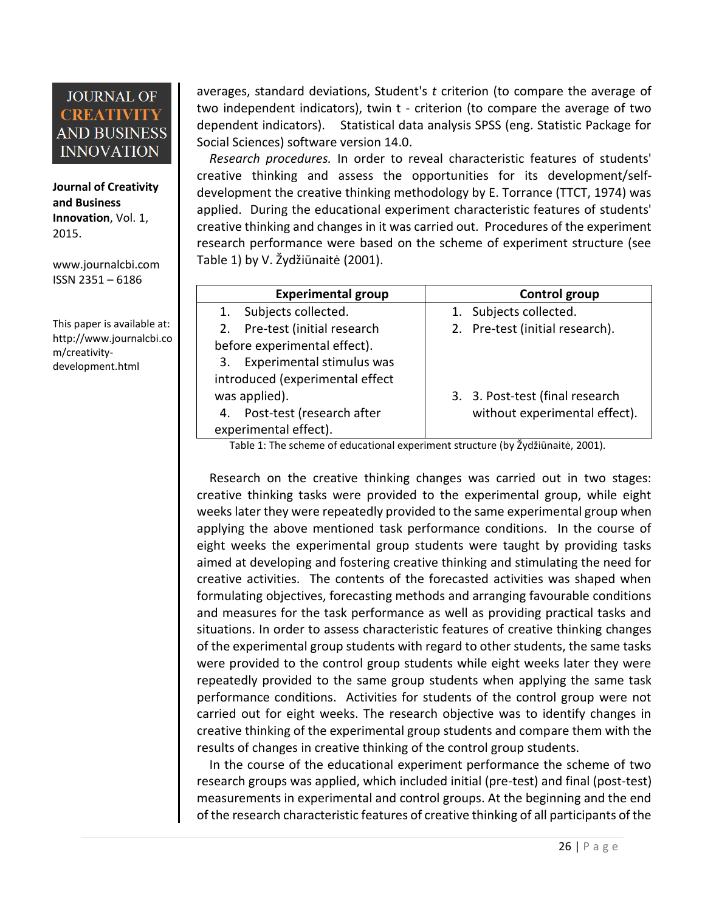**Journal of Creativity and Business Innovation**, Vol. 1, 2015.

[www.journalcbi.com](http://www.journalcbi.com/) ISSN 2351 – 6186

This paper is available at: [http://www.journalcbi.co](http://www.journalcbi.com/ideation-using-analogies.html) [m/creativity](http://www.journalcbi.com/ideation-using-analogies.html)[development.html](http://www.journalcbi.com/ideation-using-analogies.html)

averages, standard deviations, Student's *t* criterion (to compare the average of two independent indicators), twin t - criterion (to compare the average of two dependent indicators). Statistical data analysis SPSS (eng. Statistic Package for Social Sciences) software version 14.0.

 *Research procedures.* In order to reveal characteristic features of students' creative thinking and assess the opportunities for its development/selfdevelopment the creative thinking methodology by E. Torrance (TTCT, 1974) was applied. During the educational experiment characteristic features of students' creative thinking and changes in it was carried out. Procedures of the experiment research performance were based on the scheme of experiment structure (see Table 1) by V. Žydžiūnaitė (2001).

| <b>Experimental group</b>        | Control group                   |  |  |  |  |  |
|----------------------------------|---------------------------------|--|--|--|--|--|
| Subjects collected.<br>1.        | 1. Subjects collected.          |  |  |  |  |  |
| Pre-test (initial research<br>2. | 2. Pre-test (initial research). |  |  |  |  |  |
| before experimental effect).     |                                 |  |  |  |  |  |
| Experimental stimulus was<br>3.  |                                 |  |  |  |  |  |
| introduced (experimental effect  |                                 |  |  |  |  |  |
| was applied).                    | 3. 3. Post-test (final research |  |  |  |  |  |
| Post-test (research after<br>4.  | without experimental effect).   |  |  |  |  |  |
| experimental effect).            |                                 |  |  |  |  |  |

Table 1: The scheme of educational experiment structure (by Žydžiūnaitė, 2001).

 Research on the creative thinking changes was carried out in two stages: creative thinking tasks were provided to the experimental group, while eight weeks later they were repeatedly provided to the same experimental group when applying the above mentioned task performance conditions. In the course of eight weeks the experimental group students were taught by providing tasks aimed at developing and fostering creative thinking and stimulating the need for creative activities. The contents of the forecasted activities was shaped when formulating objectives, forecasting methods and arranging favourable conditions and measures for the task performance as well as providing practical tasks and situations. In order to assess characteristic features of creative thinking changes of the experimental group students with regard to other students, the same tasks were provided to the control group students while eight weeks later they were repeatedly provided to the same group students when applying the same task performance conditions. Activities for students of the control group were not carried out for eight weeks. The research objective was to identify changes in creative thinking of the experimental group students and compare them with the results of changes in creative thinking of the control group students.

 In the course of the educational experiment performance the scheme of two research groups was applied, which included initial (pre-test) and final (post-test) measurements in experimental and control groups. At the beginning and the end of the research characteristic features of creative thinking of all participants of the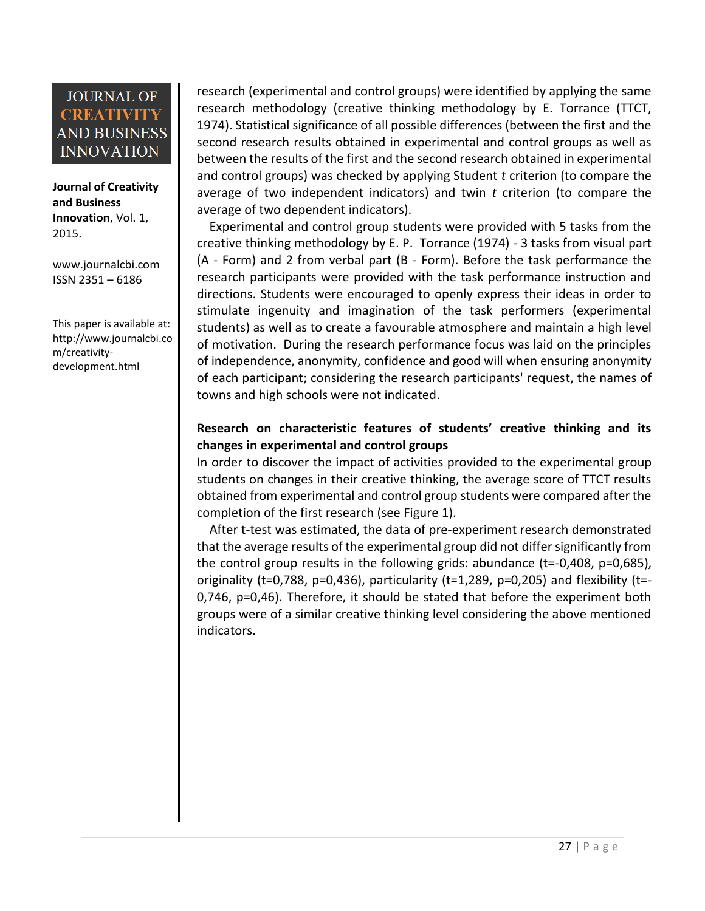**Journal of Creativity and Business Innovation**, Vol. 1, 2015.

[www.journalcbi.com](http://www.journalcbi.com/) ISSN 2351 – 6186

This paper is available at: [http://www.journalcbi.co](http://www.journalcbi.com/ideation-using-analogies.html) [m/creativity](http://www.journalcbi.com/ideation-using-analogies.html)[development.html](http://www.journalcbi.com/ideation-using-analogies.html)

research (experimental and control groups) were identified by applying the same research methodology (creative thinking methodology by E. Torrance (TTCT, 1974). Statistical significance of all possible differences (between the first and the second research results obtained in experimental and control groups as well as between the results of the first and the second research obtained in experimental and control groups) was checked by applying Student *t* criterion (to compare the average of two independent indicators) and twin *t* criterion (to compare the average of two dependent indicators).

 Experimental and control group students were provided with 5 tasks from the creative thinking methodology by E. P. Torrance (1974) - 3 tasks from visual part (A - Form) and 2 from verbal part (B - Form). Before the task performance the research participants were provided with the task performance instruction and directions. Students were encouraged to openly express their ideas in order to stimulate ingenuity and imagination of the task performers (experimental students) as well as to create a favourable atmosphere and maintain a high level of motivation. During the research performance focus was laid on the principles of independence, anonymity, confidence and good will when ensuring anonymity of each participant; considering the research participants' request, the names of towns and high schools were not indicated.

#### **Research on characteristic features of students' creative thinking and its changes in experimental and control groups**

In order to discover the impact of activities provided to the experimental group students on changes in their creative thinking, the average score of TTCT results obtained from experimental and control group students were compared after the completion of the first research (see Figure 1).

 After t-test was estimated, the data of pre-experiment research demonstrated that the average results of the experimental group did not differ significantly from the control group results in the following grids: abundance (t=-0,408, p=0,685), originality (t=0,788, p=0,436), particularity (t=1,289, p=0,205) and flexibility (t=-0,746, p=0,46). Therefore, it should be stated that before the experiment both groups were of a similar creative thinking level considering the above mentioned indicators.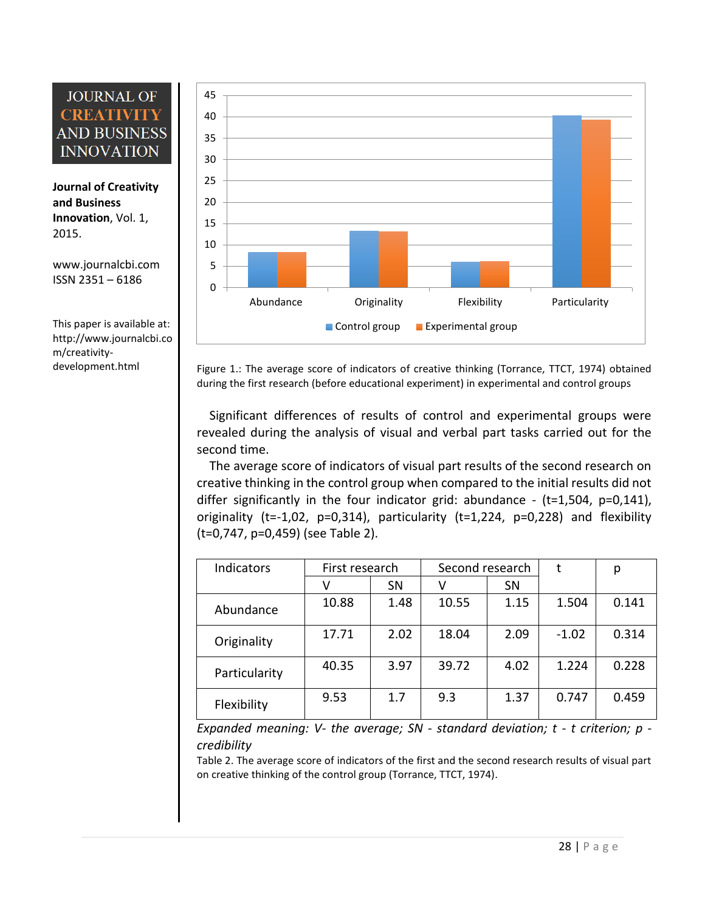**Journal of Creativity and Business Innovation**, Vol. 1, 2015.

[www.journalcbi.com](http://www.journalcbi.com/) ISSN 2351 – 6186

This paper is available at: [http://www.journalcbi.co](http://www.journalcbi.com/ideation-using-analogies.html) [m/creativity-](http://www.journalcbi.com/ideation-using-analogies.html)



[development.html](http://www.journalcbi.com/ideation-using-analogies.html) Figure 1.: The average score of indicators of creative thinking (Torrance, TTCT, 1974) obtained during the first research (before educational experiment) in experimental and control groups

> Significant differences of results of control and experimental groups were revealed during the analysis of visual and verbal part tasks carried out for the second time.

> The average score of indicators of visual part results of the second research on creative thinking in the control group when compared to the initial results did not differ significantly in the four indicator grid: abundance -  $(t=1,504, p=0,141)$ , originality ( $t=-1,02$ ,  $p=0,314$ ), particularity ( $t=1,224$ ,  $p=0,228$ ) and flexibility (t=0,747, p=0,459) (see Table 2).

| Indicators    | First research |           | Second research |           | t       | р     |
|---------------|----------------|-----------|-----------------|-----------|---------|-------|
|               |                | <b>SN</b> | v               | <b>SN</b> |         |       |
| Abundance     | 10.88          | 1.48      | 10.55           | 1.15      | 1.504   | 0.141 |
| Originality   | 17.71          | 2.02      | 18.04           | 2.09      | $-1.02$ | 0.314 |
| Particularity | 40.35          | 3.97      | 39.72           | 4.02      | 1.224   | 0.228 |
| Flexibility   | 9.53           | 1.7       | 9.3             | 1.37      | 0.747   | 0.459 |

*Expanded meaning: V- the average; SN - standard deviation; t - t criterion; p credibility* 

Table 2. The average score of indicators of the first and the second research results of visual part on creative thinking of the control group (Torrance, TTCT, 1974).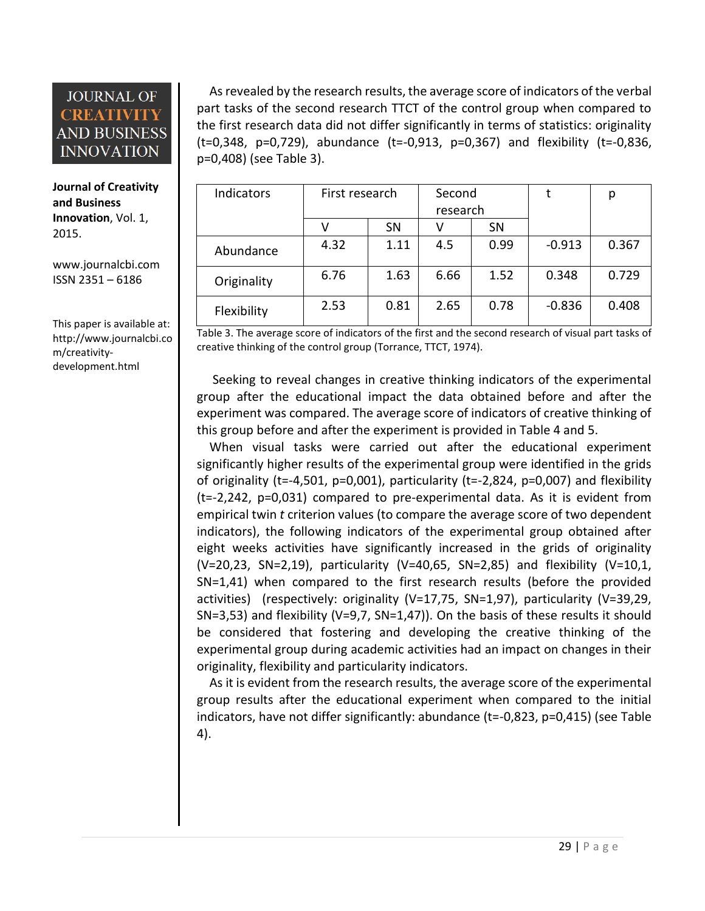**Journal of Creativity and Business Innovation**, Vol. 1, 2015.

[www.journalcbi.com](http://www.journalcbi.com/) ISSN 2351 – 6186

This paper is available at: [http://www.journalcbi.co](http://www.journalcbi.com/ideation-using-analogies.html) [m/creativity](http://www.journalcbi.com/ideation-using-analogies.html)[development.html](http://www.journalcbi.com/ideation-using-analogies.html)

 As revealed by the research results, the average score of indicators of the verbal part tasks of the second research TTCT of the control group when compared to the first research data did not differ significantly in terms of statistics: originality (t=0,348, p=0,729), abundance (t=-0,913, p=0,367) and flexibility (t=-0,836, p=0,408) (see Table 3).

| Indicators  | First research |           | Second   |      |          | р     |
|-------------|----------------|-----------|----------|------|----------|-------|
|             |                |           | research |      |          |       |
|             |                | <b>SN</b> |          | SN   |          |       |
| Abundance   | 4.32           | 1.11      | 4.5      | 0.99 | $-0.913$ | 0.367 |
| Originality | 6.76           | 1.63      | 6.66     | 1.52 | 0.348    | 0.729 |
| Flexibility | 2.53           | 0.81      | 2.65     | 0.78 | $-0.836$ | 0.408 |

Table 3. The average score of indicators of the first and the second research of visual part tasks of creative thinking of the control group (Torrance, TTCT, 1974).

 Seeking to reveal changes in creative thinking indicators of the experimental group after the educational impact the data obtained before and after the experiment was compared. The average score of indicators of creative thinking of this group before and after the experiment is provided in Table 4 and 5.

 When visual tasks were carried out after the educational experiment significantly higher results of the experimental group were identified in the grids of originality (t=-4,501, p=0,001), particularity (t=-2,824, p=0,007) and flexibility (t=-2,242, p=0,031) compared to pre-experimental data. As it is evident from empirical twin *t* criterion values (to compare the average score of two dependent indicators), the following indicators of the experimental group obtained after eight weeks activities have significantly increased in the grids of originality (V=20,23, SN=2,19), particularity (V=40,65, SN=2,85) and flexibility (V=10,1, SN=1,41) when compared to the first research results (before the provided activities) (respectively: originality (V=17,75, SN=1,97), particularity (V=39,29, SN=3,53) and flexibility (V=9,7, SN=1,47)). On the basis of these results it should be considered that fostering and developing the creative thinking of the experimental group during academic activities had an impact on changes in their originality, flexibility and particularity indicators.

 As it is evident from the research results, the average score of the experimental group results after the educational experiment when compared to the initial indicators, have not differ significantly: abundance (t=-0,823, p=0,415) (see Table 4).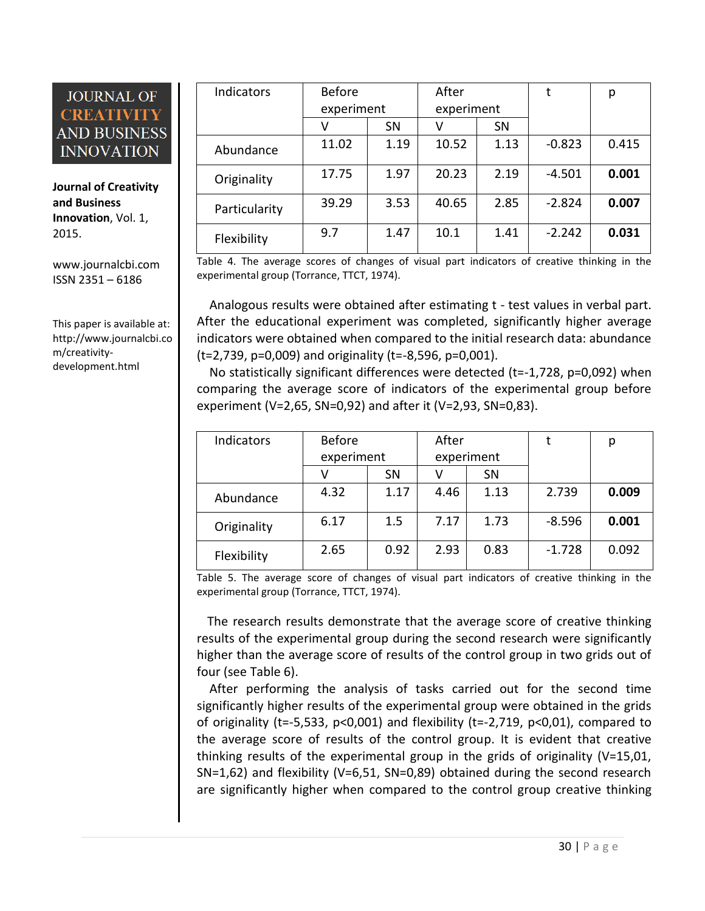**Journal of Creativity and Business Innovation**, Vol. 1, 2015.

[www.journalcbi.com](http://www.journalcbi.com/) ISSN 2351 – 6186

This paper is available at: [http://www.journalcbi.co](http://www.journalcbi.com/ideation-using-analogies.html) [m/creativity](http://www.journalcbi.com/ideation-using-analogies.html)[development.html](http://www.journalcbi.com/ideation-using-analogies.html)

| Indicators    | <b>Before</b> |           | After      |      | t        | p     |
|---------------|---------------|-----------|------------|------|----------|-------|
|               | experiment    |           | experiment |      |          |       |
|               | V             | <b>SN</b> | v          | SN   |          |       |
| Abundance     | 11.02         | 1.19      | 10.52      | 1.13 | $-0.823$ | 0.415 |
| Originality   | 17.75         | 1.97      | 20.23      | 2.19 | $-4.501$ | 0.001 |
| Particularity | 39.29         | 3.53      | 40.65      | 2.85 | $-2.824$ | 0.007 |
| Flexibility   | 9.7           | 1.47      | 10.1       | 1.41 | $-2.242$ | 0.031 |

Table 4. The average scores of changes of visual part indicators of creative thinking in the experimental group (Torrance, TTCT, 1974).

 Analogous results were obtained after estimating t - test values in verbal part. After the educational experiment was completed, significantly higher average indicators were obtained when compared to the initial research data: abundance (t=2,739, p=0,009) and originality (t=-8,596, p=0,001).

 No statistically significant differences were detected (t=-1,728, p=0,092) when comparing the average score of indicators of the experimental group before experiment (V=2,65, SN=0,92) and after it (V=2,93, SN=0,83).

| Indicators  | <b>Before</b> |      | After      |      |          | р     |
|-------------|---------------|------|------------|------|----------|-------|
|             | experiment    |      | experiment |      |          |       |
|             |               | SN   |            | SN   |          |       |
| Abundance   | 4.32          | 1.17 | 4.46       | 1.13 | 2.739    | 0.009 |
| Originality | 6.17          | 1.5  | 7.17       | 1.73 | $-8.596$ | 0.001 |
| Flexibility | 2.65          | 0.92 | 2.93       | 0.83 | $-1.728$ | 0.092 |

Table 5. The average score of changes of visual part indicators of creative thinking in the experimental group (Torrance, TTCT, 1974).

 The research results demonstrate that the average score of creative thinking results of the experimental group during the second research were significantly higher than the average score of results of the control group in two grids out of four (see Table 6).

 After performing the analysis of tasks carried out for the second time significantly higher results of the experimental group were obtained in the grids of originality (t=-5,533, p<0,001) and flexibility (t=-2,719, p<0,01), compared to the average score of results of the control group. It is evident that creative thinking results of the experimental group in the grids of originality (V=15,01, SN=1,62) and flexibility (V=6,51, SN=0,89) obtained during the second research are significantly higher when compared to the control group creative thinking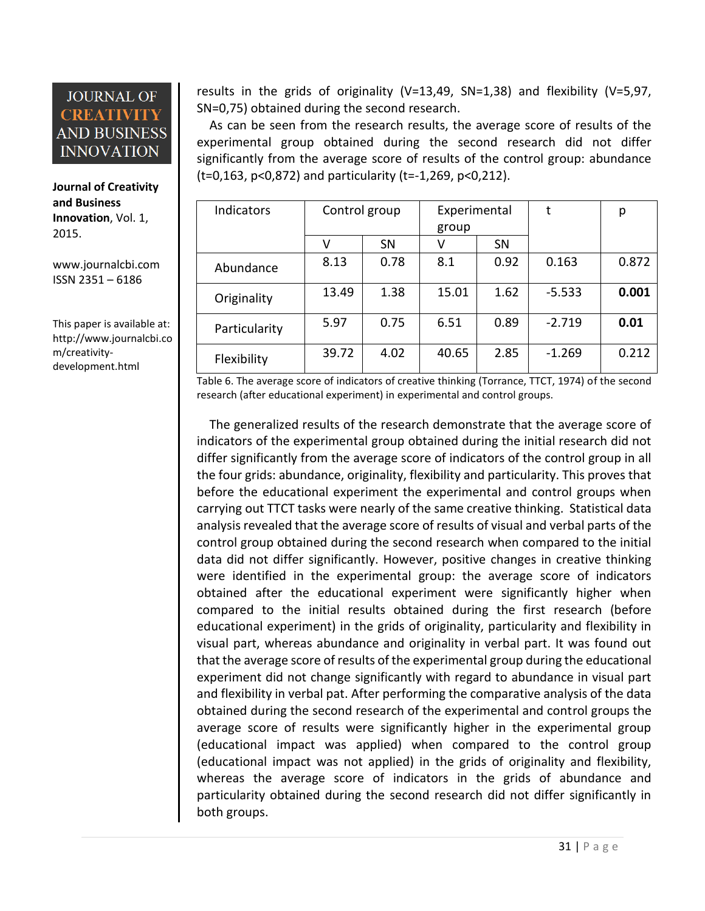**Journal of Creativity and Business Innovation**, Vol. 1, 2015.

[www.journalcbi.com](http://www.journalcbi.com/) ISSN 2351 – 6186

This paper is available at: [http://www.journalcbi.co](http://www.journalcbi.com/ideation-using-analogies.html) [m/creativity](http://www.journalcbi.com/ideation-using-analogies.html)[development.html](http://www.journalcbi.com/ideation-using-analogies.html)

results in the grids of originality (V=13,49, SN=1,38) and flexibility (V=5,97, SN=0,75) obtained during the second research.

 As can be seen from the research results, the average score of results of the experimental group obtained during the second research did not differ significantly from the average score of results of the control group: abundance (t=0,163, p<0,872) and particularity (t=-1,269, p<0,212).

| <b>Indicators</b> | Control group |           | Experimental |           |          | р     |
|-------------------|---------------|-----------|--------------|-----------|----------|-------|
|                   |               |           | group        |           |          |       |
|                   | v             | <b>SN</b> | V            | <b>SN</b> |          |       |
| Abundance         | 8.13          | 0.78      | 8.1          | 0.92      | 0.163    | 0.872 |
| Originality       | 13.49         | 1.38      | 15.01        | 1.62      | $-5.533$ | 0.001 |
| Particularity     | 5.97          | 0.75      | 6.51         | 0.89      | $-2.719$ | 0.01  |
| Flexibility       | 39.72         | 4.02      | 40.65        | 2.85      | $-1.269$ | 0.212 |

Table 6. The average score of indicators of creative thinking (Torrance, TTCT, 1974) of the second research (after educational experiment) in experimental and control groups.

 The generalized results of the research demonstrate that the average score of indicators of the experimental group obtained during the initial research did not differ significantly from the average score of indicators of the control group in all the four grids: abundance, originality, flexibility and particularity. This proves that before the educational experiment the experimental and control groups when carrying out TTCT tasks were nearly of the same creative thinking. Statistical data analysis revealed that the average score of results of visual and verbal parts of the control group obtained during the second research when compared to the initial data did not differ significantly. However, positive changes in creative thinking were identified in the experimental group: the average score of indicators obtained after the educational experiment were significantly higher when compared to the initial results obtained during the first research (before educational experiment) in the grids of originality, particularity and flexibility in visual part, whereas abundance and originality in verbal part. It was found out that the average score of results of the experimental group during the educational experiment did not change significantly with regard to abundance in visual part and flexibility in verbal pat. After performing the comparative analysis of the data obtained during the second research of the experimental and control groups the average score of results were significantly higher in the experimental group (educational impact was applied) when compared to the control group (educational impact was not applied) in the grids of originality and flexibility, whereas the average score of indicators in the grids of abundance and particularity obtained during the second research did not differ significantly in both groups.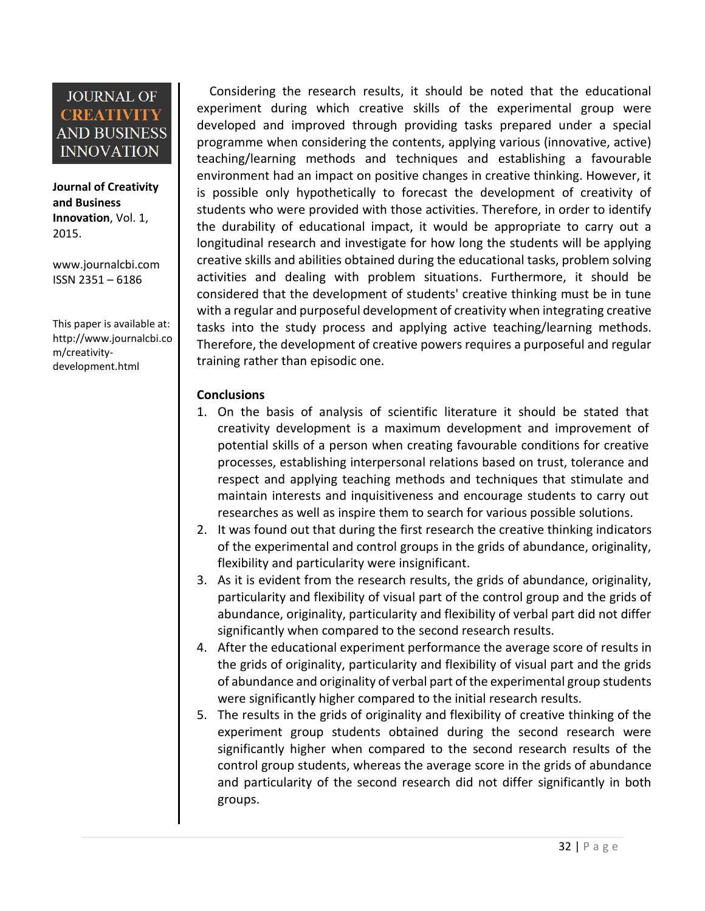**Journal of Creativity and Business Innovation**, Vol. 1, 2015.

[www.journalcbi.com](http://www.journalcbi.com/) ISSN 2351 – 6186

This paper is available at: [http://www.journalcbi.co](http://www.journalcbi.com/ideation-using-analogies.html) [m/creativity](http://www.journalcbi.com/ideation-using-analogies.html)[development.html](http://www.journalcbi.com/ideation-using-analogies.html)

 Considering the research results, it should be noted that the educational experiment during which creative skills of the experimental group were developed and improved through providing tasks prepared under a special programme when considering the contents, applying various (innovative, active) teaching/learning methods and techniques and establishing a favourable environment had an impact on positive changes in creative thinking. However, it is possible only hypothetically to forecast the development of creativity of students who were provided with those activities. Therefore, in order to identify the durability of educational impact, it would be appropriate to carry out a longitudinal research and investigate for how long the students will be applying creative skills and abilities obtained during the educational tasks, problem solving activities and dealing with problem situations. Furthermore, it should be considered that the development of students' creative thinking must be in tune with a regular and purposeful development of creativity when integrating creative tasks into the study process and applying active teaching/learning methods. Therefore, the development of creative powers requires a purposeful and regular training rather than episodic one.

#### **Conclusions**

- 1. On the basis of analysis of scientific literature it should be stated that creativity development is a maximum development and improvement of potential skills of a person when creating favourable conditions for creative processes, establishing interpersonal relations based on trust, tolerance and respect and applying teaching methods and techniques that stimulate and maintain interests and inquisitiveness and encourage students to carry out researches as well as inspire them to search for various possible solutions.
- 2. It was found out that during the first research the creative thinking indicators of the experimental and control groups in the grids of abundance, originality, flexibility and particularity were insignificant.
- 3. As it is evident from the research results, the grids of abundance, originality, particularity and flexibility of visual part of the control group and the grids of abundance, originality, particularity and flexibility of verbal part did not differ significantly when compared to the second research results.
- 4. After the educational experiment performance the average score of results in the grids of originality, particularity and flexibility of visual part and the grids of abundance and originality of verbal part of the experimental group students were significantly higher compared to the initial research results.
- 5. The results in the grids of originality and flexibility of creative thinking of the experiment group students obtained during the second research were significantly higher when compared to the second research results of the control group students, whereas the average score in the grids of abundance and particularity of the second research did not differ significantly in both groups.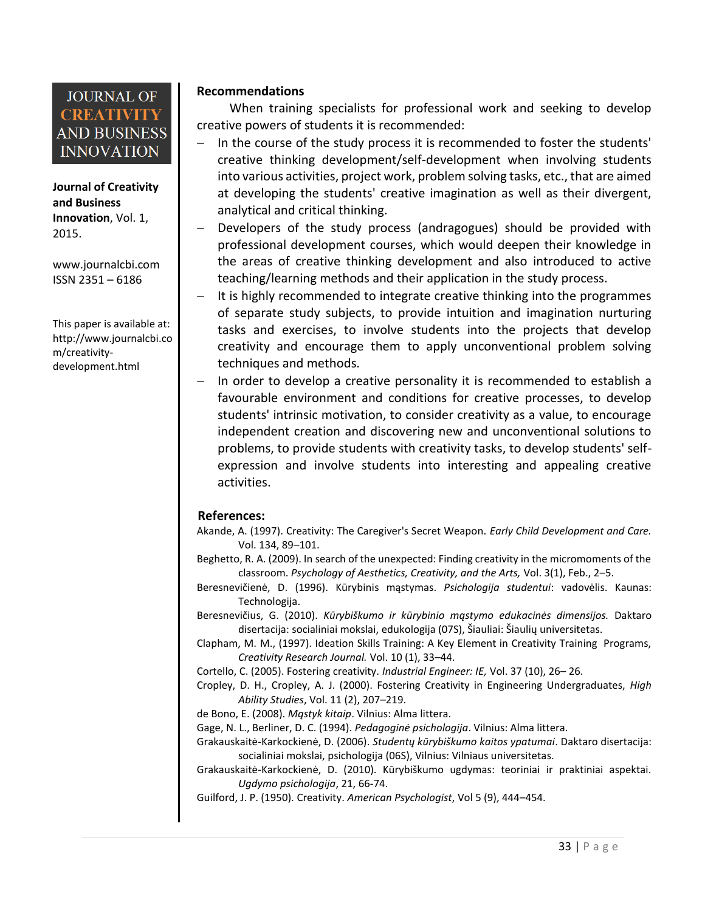**Journal of Creativity and Business Innovation**, Vol. 1, 2015.

[www.journalcbi.com](http://www.journalcbi.com/) ISSN 2351 – 6186

This paper is available at: [http://www.journalcbi.co](http://www.journalcbi.com/ideation-using-analogies.html) [m/creativity](http://www.journalcbi.com/ideation-using-analogies.html)[development.html](http://www.journalcbi.com/ideation-using-analogies.html)

#### **Recommendations**

When training specialists for professional work and seeking to develop creative powers of students it is recommended:

- In the course of the study process it is recommended to foster the students' creative thinking development/self-development when involving students into various activities, project work, problem solving tasks, etc., that are aimed at developing the students' creative imagination as well as their divergent, analytical and critical thinking.
- Developers of the study process (andragogues) should be provided with professional development courses, which would deepen their knowledge in the areas of creative thinking development and also introduced to active teaching/learning methods and their application in the study process.
- It is highly recommended to integrate creative thinking into the programmes of separate study subjects, to provide intuition and imagination nurturing tasks and exercises, to involve students into the projects that develop creativity and encourage them to apply unconventional problem solving techniques and methods.
- In order to develop a creative personality it is recommended to establish a favourable environment and conditions for creative processes, to develop students' intrinsic motivation, to consider creativity as a value, to encourage independent creation and discovering new and unconventional solutions to problems, to provide students with creativity tasks, to develop students' selfexpression and involve students into interesting and appealing creative activities.

#### **References:**

- Akande, A. (1997). Creativity: The Caregiver's Secret Weapon. *Early Child Development and Care.*  Vol. 134, 89–101.
- Beghetto, R. A. (2009). In search of the unexpected: Finding creativity in the micromoments of the classroom. *Psychology of Aesthetics, Creativity, and the Arts,* Vol. 3(1), Feb., 2–5.
- Beresnevičienė, D. (1996). Kūrybinis mąstymas. *Psichologija studentui*: vadovėlis. Kaunas: Technologija.
- Beresnevičius, G. (2010). *Kūrybiškumo ir kūrybinio mąstymo edukacinės dimensijos.* Daktaro disertacija: socialiniai mokslai, edukologija (07S), Šiauliai: Šiaulių universitetas.
- Clapham, M. M., (1997). Ideation Skills Training: A Key Element in Creativity Training Programs, *Creativity Research Journal.* Vol. 10 (1), 33–44.
- Cortello, C. (2005). Fostering creativity. *Industrial Engineer: IE,* Vol. 37 (10), 26– 26.
- Cropley, D. H., Cropley, A. J. (2000). Fostering Creativity in Engineering Undergraduates, *High Ability Studies*, Vol. 11 (2), 207–219.
- de Bono, E. (2008). *Mąstyk kitaip*. Vilnius: Alma littera.
- Gage, N. L., Berliner, D. C. (1994). *Pedagoginė psichologija*. Vilnius: Alma littera.
- Grakauskaitė-Karkockienė, D. (2006). *Studentų kūrybiškumo kaitos ypatumai*. Daktaro disertacija: socialiniai mokslai, psichologija (06S), Vilnius: Vilniaus universitetas.
- Grakauskaitė-Karkockienė, D. (2010). Kūrybiškumo ugdymas: teoriniai ir praktiniai aspektai. *Ugdymo psichologija*, 21, 66-74.
- Guilford, J. P. (1950). Creativity. *American Psychologist*, Vol 5 (9), 444–454.